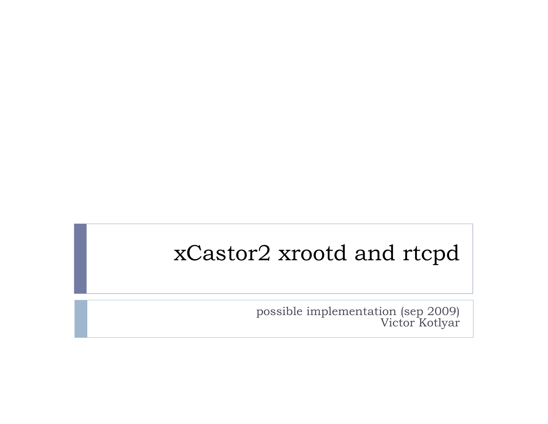### xCastor2 xrootd and rtcpd

possible implementation (sep 2009) Victor Kotlyar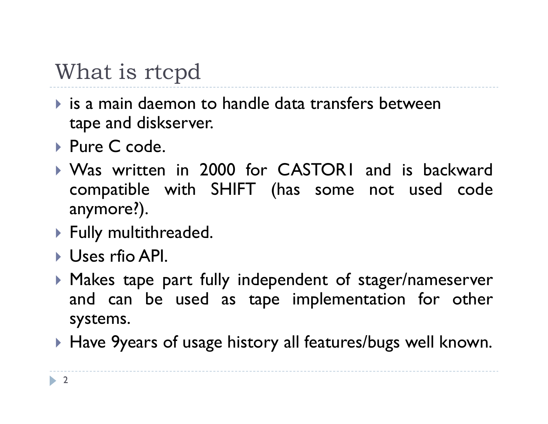## What is rtcpd

- $\blacktriangleright$  is a main daemon to handle data transfers between tape and diskserver.
- ▶ Pure C code.
- ` Was written in 2000 for CASTOR1 and is backward compatible with SHIFT (has some not used code anymore?).
- $\blacktriangleright$  Fully multithreaded.
- ` Uses rfio API.
- $\blacktriangleright$  Makes tape part fully independent of stager/nameserver and can be used as tape implementation for other systems.
- $\blacktriangleright$  Have 9years of usage history all features/bugs well known.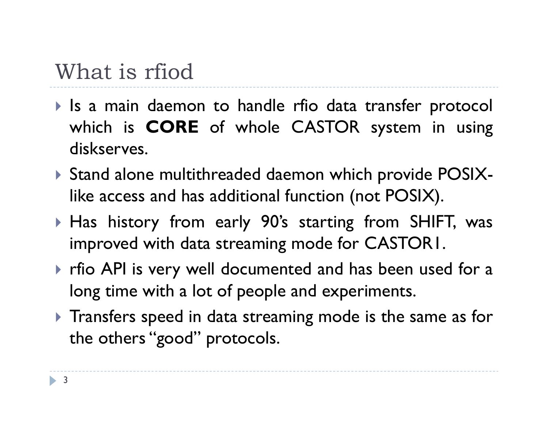## What is rfiod

- $\blacktriangleright$  Is a main daemon to handle rfio data transfer protocol which is **CORE** of whole CASTOR system in using diskserves.
- $\blacktriangleright$  Stand alone multithreaded daemon which provide POSIXlike access and has additional function (not POSIX).
- $\blacktriangleright$  Has history from early 90's starting from SHIFT, was improved with data streaming mode for CASTOR1.
- $\blacktriangleright$  rfio API is very well documented and has been used for a long time with <sup>a</sup> lot of people and experiments.
- $\blacktriangleright$  Transfers speed in data streaming mode is the same as for the others "good" protocols.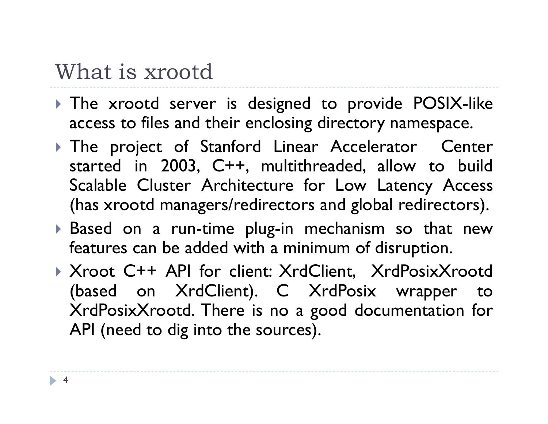#### What is xrootd

- $\blacktriangleright$  The xrootd server is designed to provide POSIX-like access to files and their enclosing directory namespace.
- **The project of Stanford Linear Accelerator Center** started in 2003, C++, multithreaded, allow to build Scalable Cluster Architecture for Low Latency Access (has xrootd managers/redirectors and global redirectors).
- $\blacktriangleright$  Based on a run-time plug-in mechanism so that new features can be added with <sup>a</sup> minimum of disruption.
- ` Xroot C++ API for client: XrdClient, XrdPosixXrootd (based on XrdClient). C XrdPosix wrapper to XrdPosixXrootd. There is no <sup>a</sup> good documentation for API (need to dig into the sources).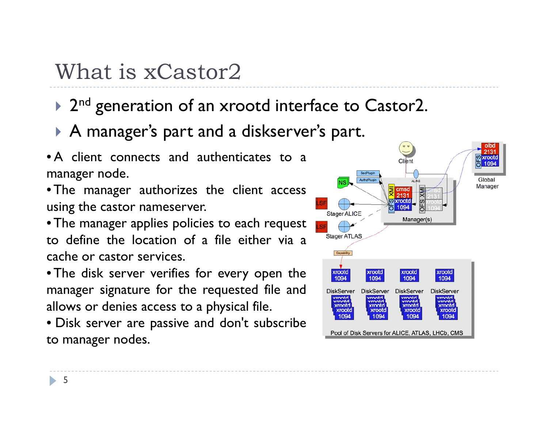## What is xCastor2

- ▶ 2<sup>nd</sup> generation of an xrootd interface to Castor2.
- $\blacktriangleright$  A manager's part and a diskserver's part.
- A client connects and authenticates to <sup>a</sup>manager node.
- The manager authorizes the client access using the castor nameserver.
- The manager applies policies to each reques<sup>t</sup> to define the location of <sup>a</sup> file either via <sup>a</sup>cache or castor services.
- The disk server verifies for every open the manager signature for the requested file and allows or denies access to <sup>a</sup> physical file.
- Disk server are passive and don't subscribe to manager nodes.

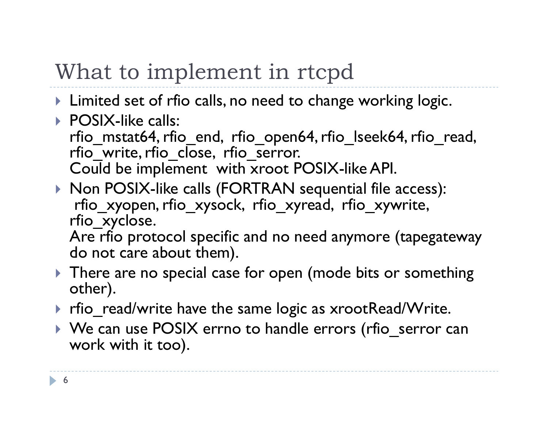# What to implement in rtcpd

- $\blacktriangleright$  Limited set of rfio calls, no need to change working logic.
- ▶ POSIX-like calls: rfio mstat64, rfio end, rfio open64, rfio\_lseek64, rfio\_read, rfio\_write, rfio\_close, rfio\_serror. Could be implement with xroot POSIX-like API.
- ` Non POSIX-like calls (FORTRAN sequential file access): rfio\_xyopen, rfio\_xysock, rfio\_xyread, rfio\_xywrite, rfio\_xyclose.

Are rfio protocol specific and no need anymore (tapegateway do not care about them).

- $\blacktriangleright$  There are no special case for open (mode bits or something other).
- $\blacktriangleright$  rfio\_read/write have the same logic as xrootRead/Write.
- $\blacktriangleright$  We can use <code>POSIX</code> errno to handle errors (rfio\_serror can work with it too).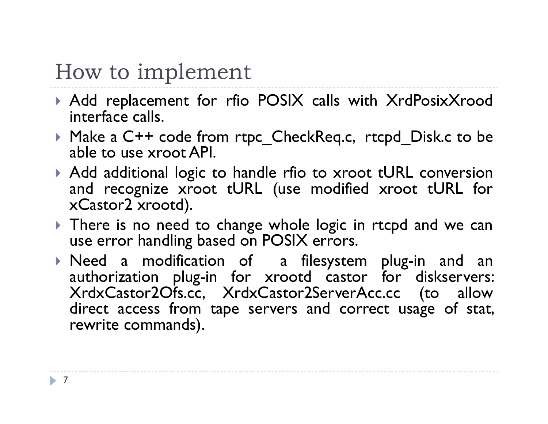#### How to implement

- $\blacktriangleright$  Add replacement for rfio POSIX calls with XrdPosixXrood interface calls.
- ` Make <sup>a</sup> C++ code from rtpc\_CheckReq.c, rtcpd\_Disk.c to be able to use xroot API.
- $\blacktriangleright$  Add additional logic to handle rfio to xroot tURL conversion and recognize xroot tURL (use modified xroot tURL for xCastor2 xrootd).
- $\blacktriangleright$  There is no need to change whole logic in rtcpd and we can use error handling based on POSIX errors.
- $\blacktriangleright$  Need a modification of  $\;$  a filesystem plug-in and an authorization plug-in for xrootd castor for diskservers: XrdxCastor2Ofs.cc, XrdxCastor2ServerAcc.cc (to allow direct access from tape servers and correct usage of stat, rewrite commands).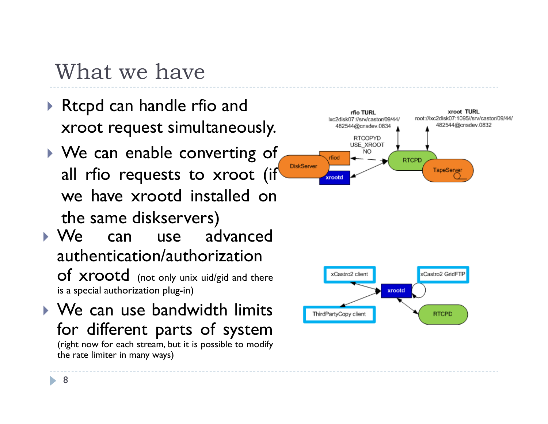### What we have

- $\blacktriangleright$  Rtcpd can handle rfio and xroot request simultaneously.
- $\blacktriangleright$  We can enable converting of all rfio requests to xroot (if we have xrootd installed onthe same diskservers)
- ` We can use advanced authentication/authorization $of$   $Xroot$  (not only unix uid/gid and there is <sup>a</sup> special authorization plug-in)
- $\blacktriangleright$  We can use bandwidth limits for different parts of system (right now for each stream, but it is possible to modify the rate limiter in many ways)